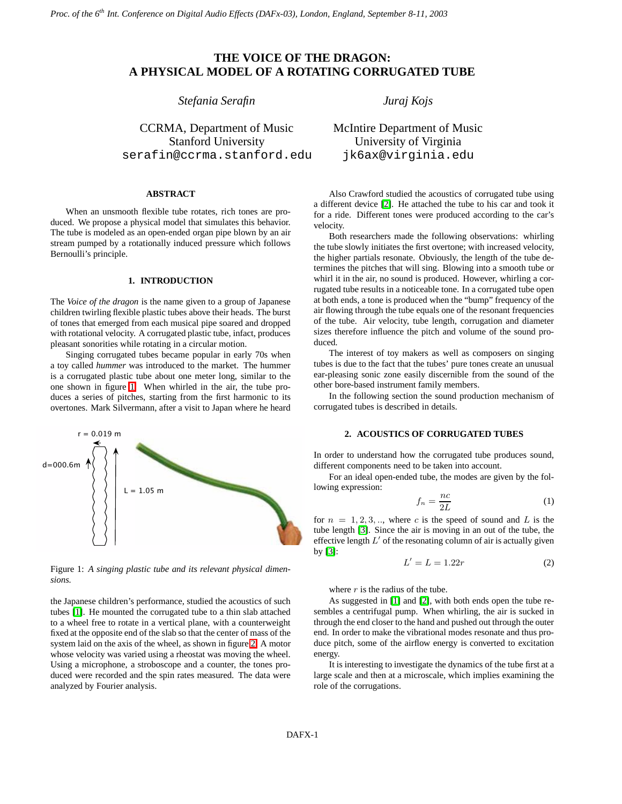## **THE VOICE OF THE DRAGON: A PHYSICAL MODEL OF A ROTATING CORRUGATED TUBE**

## *Stefania Serafin*

CCRMA, Department of Music Stanford University serafin@ccrma.stanford.edu

#### **ABSTRACT**

When an unsmooth flexible tube rotates, rich tones are produced. We propose a physical model that simulates this behavior. The tube is modeled as an open-ended organ pipe blown by an air stream pumped by a rotationally induced pressure which follows Bernoulli's principle.

#### **1. INTRODUCTION**

The *Voice of the dragon* is the name given to a group of Japanese children twirling flexible plastic tubes above their heads. The burst of tones that emerged from each musical pipe soared and dropped with rotational velocity. A corrugated plastic tube, infact, produces pleasant sonorities while rotating in a circular motion.

Singing corrugated tubes became popular in early 70s when a toy called *hummer* was introduced to the market. The hummer is a corrugated plastic tube about one meter long, similar to the one shown in figure [1.](#page-0-0) When whirled in the air, the tube produces a series of pitches, starting from the first harmonic to its overtones. Mark Silvermann, after a visit to Japan where he heard



<span id="page-0-0"></span>Figure 1: *A singing plastic tube and its relevant physical dimensions.*

the Japanese children's performance, studied the acoustics of such tubes [\[1\]](#page-4-0). He mounted the corrugated tube to a thin slab attached to a wheel free to rotate in a vertical plane, with a counterweight fixed at the opposite end of the slab so that the center of mass of the system laid on the axis of the wheel, as shown in figure [2.](#page-1-0) A motor whose velocity was varied using a rheostat was moving the wheel. Using a microphone, a stroboscope and a counter, the tones produced were recorded and the spin rates measured. The data were analyzed by Fourier analysis.

*Juraj Kojs*

# McIntire Department of Music University of Virginia jk6ax@virginia.edu

Also Crawford studied the acoustics of corrugated tube using a different device [\[2\]](#page-4-1). He attached the tube to his car and took it for a ride. Different tones were produced according to the car's velocity.

Both researchers made the following observations: whirling the tube slowly initiates the first overtone; with increased velocity, the higher partials resonate. Obviously, the length of the tube determines the pitches that will sing. Blowing into a smooth tube or whirl it in the air, no sound is produced. However, whirling a corrugated tube results in a noticeable tone. In a corrugated tube open at both ends, a tone is produced when the "bump" frequency of the air flowing through the tube equals one of the resonant frequencies of the tube. Air velocity, tube length, corrugation and diameter sizes therefore influence the pitch and volume of the sound produced.

The interest of toy makers as well as composers on singing tubes is due to the fact that the tubes' pure tones create an unusual ear-pleasing sonic zone easily discernible from the sound of the other bore-based instrument family members.

In the following section the sound production mechanism of corrugated tubes is described in details.

## **2. ACOUSTICS OF CORRUGATED TUBES**

In order to understand how the corrugated tube produces sound, different components need to be taken into account.

<span id="page-0-1"></span>For an ideal open-ended tube, the modes are given by the following expression:

$$
f_n = \frac{nc}{2L} \tag{1}
$$

<span id="page-0-2"></span>for  $n = 1, 2, 3, \dots$ , where c is the speed of sound and L is the tube length [\[3\]](#page-4-2). Since the air is moving in an out of the tube, the effective length  $L'$  of the resonating column of air is actually given by [\[3\]](#page-4-2):

$$
L' = L = 1.22r\tag{2}
$$

where  $r$  is the radius of the tube.

As suggested in [\[1\]](#page-4-0) and [\[2\]](#page-4-1), with both ends open the tube resembles a centrifugal pump. When whirling, the air is sucked in through the end closer to the hand and pushed out through the outer end. In order to make the vibrational modes resonate and thus produce pitch, some of the airflow energy is converted to excitation energy.

It is interesting to investigate the dynamics of the tube first at a large scale and then at a microscale, which implies examining the role of the corrugations.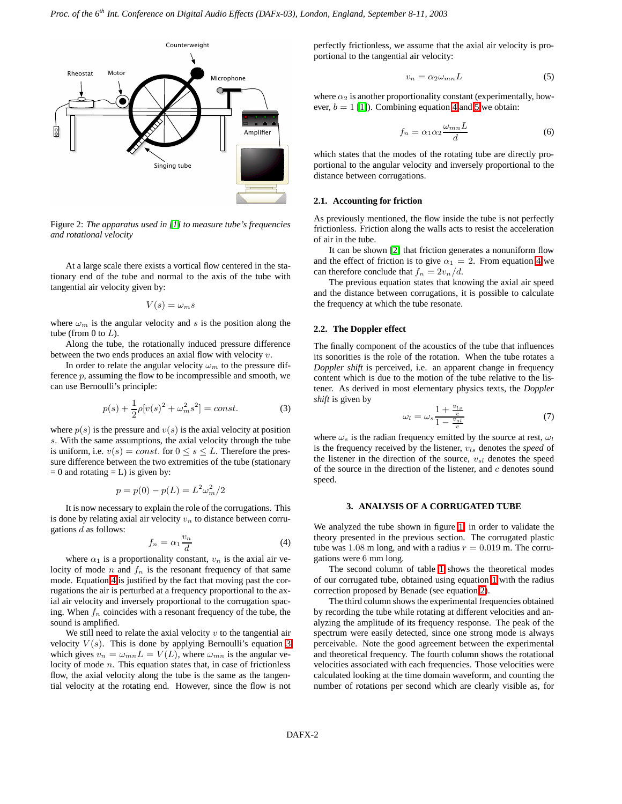

<span id="page-1-0"></span>Figure 2: *The apparatus used in [\[1\]](#page-4-0) to measure tube's frequencies and rotational velocity*

At a large scale there exists a vortical flow centered in the stationary end of the tube and normal to the axis of the tube with tangential air velocity given by:

$$
V(s) = \omega_m s
$$

where  $\omega_m$  is the angular velocity and s is the position along the tube (from 0 to  $L$ ).

Along the tube, the rotationally induced pressure difference between the two ends produces an axial flow with velocity v.

In order to relate the angular velocity  $\omega_m$  to the pressure difference  $p$ , assuming the flow to be incompressible and smooth, we can use Bernoulli's principle:

<span id="page-1-2"></span>
$$
p(s) + \frac{1}{2}\rho[v(s)^{2} + \omega_{m}^{2}s^{2}] = const.
$$
 (3)

where  $p(s)$  is the pressure and  $v(s)$  is the axial velocity at position s. With the same assumptions, the axial velocity through the tube is uniform, i.e.  $v(s) = const.$  for  $0 \le s \le L$ . Therefore the pressure difference between the two extremities of the tube (stationary  $= 0$  and rotating  $= L$ ) is given by:

$$
p = p(0) - p(L) = L^2 \omega_m^2 / 2
$$

<span id="page-1-1"></span>It is now necessary to explain the role of the corrugations. This is done by relating axial air velocity  $v_n$  to distance between corrugations  $d$  as follows:

$$
f_n = \alpha_1 \frac{v_n}{d} \tag{4}
$$

where  $\alpha_1$  is a proportionality constant,  $v_n$  is the axial air velocity of mode *n* and  $f_n$  is the resonant frequency of that same mode. Equation [4](#page-1-1) is justified by the fact that moving past the corrugations the air is perturbed at a frequency proportional to the axial air velocity and inversely proportional to the corrugation spacing. When  $f_n$  coincides with a resonant frequency of the tube, the sound is amplified.

We still need to relate the axial velocity  $v$  to the tangential air velocity  $V(s)$ . This is done by applying Bernoulli's equation [3](#page-1-2) which gives  $v_n = \omega_{mn} L = V(L)$ , where  $\omega_{mn}$  is the angular velocity of mode  $n$ . This equation states that, in case of frictionless flow, the axial velocity along the tube is the same as the tangential velocity at the rotating end. However, since the flow is not

perfectly frictionless, we assume that the axial air velocity is proportional to the tangential air velocity:

<span id="page-1-3"></span>
$$
v_n = \alpha_2 \omega_{mn} L \tag{5}
$$

where  $\alpha_2$  is another proportionality constant (experimentally, however,  $b = 1$  [\[1\]](#page-4-0)). Combining equation [4](#page-1-1) and [5](#page-1-3) we obtain:

$$
f_n = \alpha_1 \alpha_2 \frac{\omega_{mn} L}{d} \tag{6}
$$

which states that the modes of the rotating tube are directly proportional to the angular velocity and inversely proportional to the distance between corrugations.

#### **2.1. Accounting for friction**

As previously mentioned, the flow inside the tube is not perfectly frictionless. Friction along the walls acts to resist the acceleration of air in the tube.

It can be shown [\[2\]](#page-4-1) that friction generates a nonuniform flow and the effect of friction is to give  $\alpha_1 = 2$ . From equation [4](#page-1-1) we can therefore conclude that  $f_n = 2v_n/d$ .

The previous equation states that knowing the axial air speed and the distance between corrugations, it is possible to calculate the frequency at which the tube resonate.

### **2.2. The Doppler effect**

The finally component of the acoustics of the tube that influences its sonorities is the role of the rotation. When the tube rotates a *Doppler shift* is perceived, i.e. an apparent change in frequency content which is due to the motion of the tube relative to the listener. As derived in most elementary physics texts, the *Doppler shift* is given by

$$
\omega_l = \omega_s \frac{1 + \frac{v_{ls}}{c}}{1 - \frac{v_{sl}}{c}} \tag{7}
$$

<span id="page-1-4"></span>where  $\omega_s$  is the radian frequency emitted by the source at rest,  $\omega_l$ is the frequency received by the listener,  $v_{ls}$  denotes the *speed* of the listener in the direction of the source,  $v_{sl}$  denotes the speed of the source in the direction of the listener, and  $c$  denotes sound speed.

## **3. ANALYSIS OF A CORRUGATED TUBE**

We analyzed the tube shown in figure [1,](#page-0-0) in order to validate the theory presented in the previous section. The corrugated plastic tube was 1.08 m long, and with a radius  $r = 0.019$  m. The corrugations were 6 mm long.

The second column of table [1](#page-2-0) shows the theoretical modes of our corrugated tube, obtained using equation [1](#page-0-1) with the radius correction proposed by Benade (see equation [2\)](#page-0-2).

The third column shows the experimental frequencies obtained by recording the tube while rotating at different velocities and analyzing the amplitude of its frequency response. The peak of the spectrum were easily detected, since one strong mode is always perceivable. Note the good agreement between the experimental and theoretical frequency. The fourth column shows the rotational velocities associated with each frequencies. Those velocities were calculated looking at the time domain waveform, and counting the number of rotations per second which are clearly visible as, for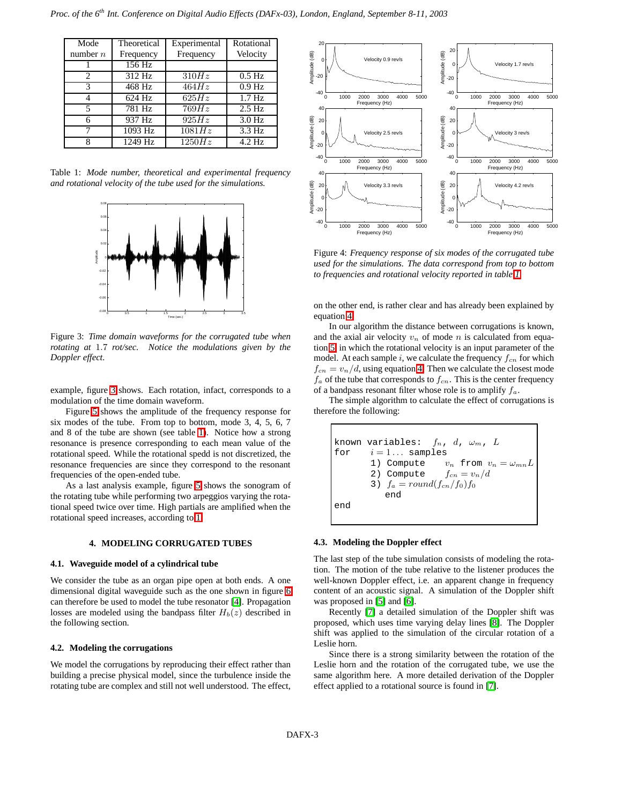| Mode                        | Theoretical | Experimental       | Rotational        |
|-----------------------------|-------------|--------------------|-------------------|
| number $n$                  | Frequency   | Frequency          | Velocity          |
|                             | 156 Hz      |                    |                   |
| $\mathcal{D}_{\mathcal{A}}$ | 312 Hz      | 310Hz              | $0.5$ Hz          |
| 3                           | 468 Hz      | 464Hz              | $0.9$ Hz          |
|                             | 624 Hz      | 625Hz              | 1.7 <sub>Hz</sub> |
| 5                           | 781 Hz      | 769Hz              | $2.5$ Hz          |
|                             | 937 Hz      | $925\overline{Hz}$ | $3.0$ Hz          |
|                             | 1093 Hz     | 1081Hz             | $3.3 \text{ Hz}$  |
|                             | 1249 Hz     | 1250Hz             | $4.2$ Hz          |

<span id="page-2-0"></span>Table 1: *Mode number, theoretical and experimental frequency and rotational velocity of the tube used for the simulations.*



<span id="page-2-1"></span>Figure 3: *Time domain waveforms for the corrugated tube when rotating at* 1.7 *rot/sec. Notice the modulations given by the Doppler effect.*

example, figure [3](#page-2-1) shows. Each rotation, infact, corresponds to a modulation of the time domain waveform.

Figure [5](#page-3-0) shows the amplitude of the frequency response for six modes of the tube. From top to bottom, mode 3, 4, 5, 6, 7 and 8 of the tube are shown (see table [1\)](#page-2-0). Notice how a strong resonance is presence corresponding to each mean value of the rotational speed. While the rotational spedd is not discretized, the resonance frequencies are since they correspond to the resonant frequencies of the open-ended tube.

As a last analysis example, figure [5](#page-3-0) shows the sonogram of the rotating tube while performing two arpeggios varying the rotational speed twice over time. High partials are amplified when the rotational speed increases, according to [1.](#page-2-0)

#### **4. MODELING CORRUGATED TUBES**

## **4.1. Waveguide model of a cylindrical tube**

We consider the tube as an organ pipe open at both ends. A one dimensional digital waveguide such as the one shown in figure [6](#page-3-1) can therefore be used to model the tube resonator [\[4\]](#page-4-3). Propagation losses are modeled using the bandpass filter  $H_b(z)$  described in the following section.

## **4.2. Modeling the corrugations**

We model the corrugations by reproducing their effect rather than building a precise physical model, since the turbulence inside the rotating tube are complex and still not well understood. The effect,



Figure 4: *Frequency response of six modes of the corrugated tube used for the simulations. The data correspond from top to bottom to frequencies and rotational velocity reported in table [1.](#page-2-0)*

on the other end, is rather clear and has already been explained by equation [4.](#page-1-1)

In our algorithm the distance between corrugations is known, and the axial air velocity  $v_n$  of mode n is calculated from equation [5,](#page-1-3) in which the rotational velocity is an input parameter of the model. At each sample i, we calculate the frequency  $f_{cn}$  for which  $f_{cn} = v_n/d$ , using equation [4.](#page-1-1) Then we calculate the closest mode  $f_a$  of the tube that corresponds to  $f_{cn}$ . This is the center frequency of a bandpass resonant filter whose role is to amplify  $f_a$ .

The simple algorithm to calculate the effect of corrugations is therefore the following:

known variables: 
$$
f_n
$$
,  $d$ ,  $\omega_m$ ,  $L$ 

\nfor  $i = 1 \ldots$  samples

\n1) Compute  $v_n$  from  $v_n = \omega_{mn}L$ 

\n2) Compute  $f_{cn} = v_n/d$ 

\n3)  $f_a = round(f_{cn}/f_0)f_0$ 

\nend

\nend

#### **4.3. Modeling the Doppler effect**

The last step of the tube simulation consists of modeling the rotation. The motion of the tube relative to the listener produces the well-known Doppler effect, i.e. an apparent change in frequency content of an acoustic signal. A simulation of the Doppler shift was proposed in [\[5\]](#page-4-4) and [\[6\]](#page-4-5).

Recently [\[7\]](#page-4-6) a detailed simulation of the Doppler shift was proposed, which uses time varying delay lines [\[8\]](#page-4-7). The Doppler shift was applied to the simulation of the circular rotation of a Leslie horn.

Since there is a strong similarity between the rotation of the Leslie horn and the rotation of the corrugated tube, we use the same algorithm here. A more detailed derivation of the Doppler effect applied to a rotational source is found in [\[7\]](#page-4-6).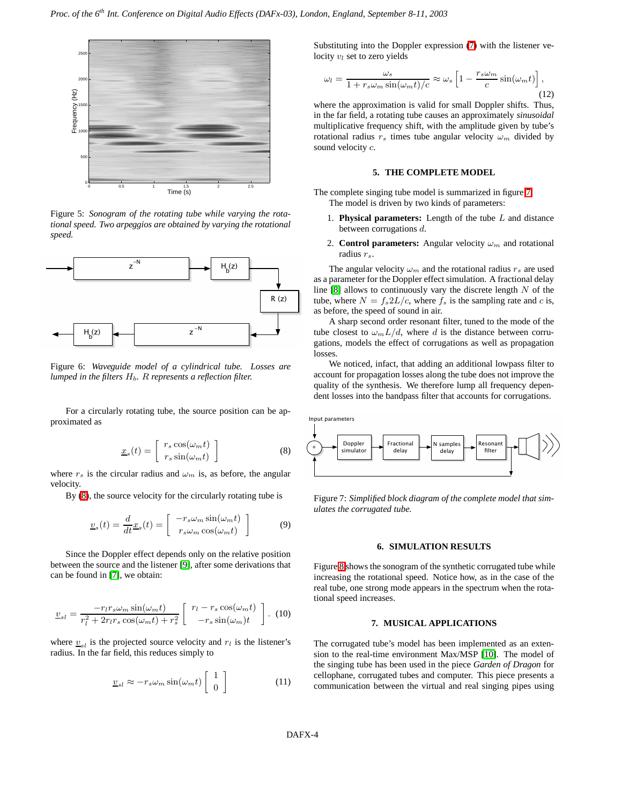

<span id="page-3-0"></span>Figure 5: *Sonogram of the rotating tube while varying the rotational speed. Two arpeggios are obtained by varying the rotational speed.*



<span id="page-3-1"></span>Figure 6: *Waveguide model of a cylindrical tube. Losses are lumped in the filters*  $H_b$ *.* R *represents a reflection filter.* 

<span id="page-3-2"></span>For a circularly rotating tube, the source position can be approximated as

$$
\underline{x}_s(t) = \begin{bmatrix} r_s \cos(\omega_m t) \\ r_s \sin(\omega_m t) \end{bmatrix}
$$
 (8)

where  $r_s$  is the circular radius and  $\omega_m$  is, as before, the angular velocity.

By [\(8\)](#page-3-2), the source velocity for the circularly rotating tube is

$$
\underline{v}_s(t) = \frac{d}{dt}\underline{x}_s(t) = \begin{bmatrix} -r_s\omega_m\sin(\omega_m t) \\ r_s\omega_m\cos(\omega_m t) \end{bmatrix}
$$
(9)

Since the Doppler effect depends only on the relative position between the source and the listener [\[9\]](#page-4-8), after some derivations that can be found in [\[7\]](#page-4-6), we obtain:

$$
\underline{v}_{sl} = \frac{-r_l r_s \omega_m \sin(\omega_m t)}{r_l^2 + 2r_l r_s \cos(\omega_m t) + r_s^2} \left[ \begin{array}{c} r_l - r_s \cos(\omega_m t) \\ -r_s \sin(\omega_m)t \end{array} \right]. \tag{10}
$$

where  $v_{sl}$  is the projected source velocity and  $r_l$  is the listener's radius. In the far field, this reduces simply to

$$
\underline{v}_{sl} \approx -r_s \omega_m \sin(\omega_m t) \begin{bmatrix} 1 \\ 0 \end{bmatrix}
$$
 (11)

Substituting into the Doppler expression [\(7\)](#page-1-4) with the listener velocity  $v_l$  set to zero yields

$$
\omega_l = \frac{\omega_s}{1 + r_s \omega_m \sin(\omega_m t) / c} \approx \omega_s \left[ 1 - \frac{r_s \omega_m}{c} \sin(\omega_m t) \right],\tag{12}
$$

where the approximation is valid for small Doppler shifts. Thus, in the far field, a rotating tube causes an approximately *sinusoidal* multiplicative frequency shift, with the amplitude given by tube's rotational radius  $r_s$  times tube angular velocity  $\omega_m$  divided by sound velocity  $c$ .

### **5. THE COMPLETE MODEL**

The complete singing tube model is summarized in figure [7.](#page-3-3) The model is driven by two kinds of parameters:

- 1. **Physical parameters:** Length of the tube L and distance between corrugations d.
- 2. **Control parameters:** Angular velocity  $\omega_m$  and rotational radius  $r_s$ .

The angular velocity  $\omega_m$  and the rotational radius  $r_s$  are used as a parameter for the Doppler effect simulation. A fractional delay line  $[8]$  allows to continuously vary the discrete length  $N$  of the tube, where  $N = f_s 2L/c$ , where  $f_s$  is the sampling rate and c is, as before, the speed of sound in air.

A sharp second order resonant filter, tuned to the mode of the tube closest to  $\omega_m L/d$ , where d is the distance between corrugations, models the effect of corrugations as well as propagation losses.

We noticed, infact, that adding an additional lowpass filter to account for propagation losses along the tube does not improve the quality of the synthesis. We therefore lump all frequency dependent losses into the bandpass filter that accounts for corrugations.



<span id="page-3-3"></span>Figure 7: *Simplified block diagram of the complete model that simulates the corrugated tube.*

## **6. SIMULATION RESULTS**

Figure [8](#page-4-9) shows the sonogram of the synthetic corrugated tube while increasing the rotational speed. Notice how, as in the case of the real tube, one strong mode appears in the spectrum when the rotational speed increases.

#### **7. MUSICAL APPLICATIONS**

The corrugated tube's model has been implemented as an extension to the real-time environment Max/MSP [\[10\]](#page-4-10). The model of the singing tube has been used in the piece *Garden of Dragon* for cellophane, corrugated tubes and computer. This piece presents a communication between the virtual and real singing pipes using